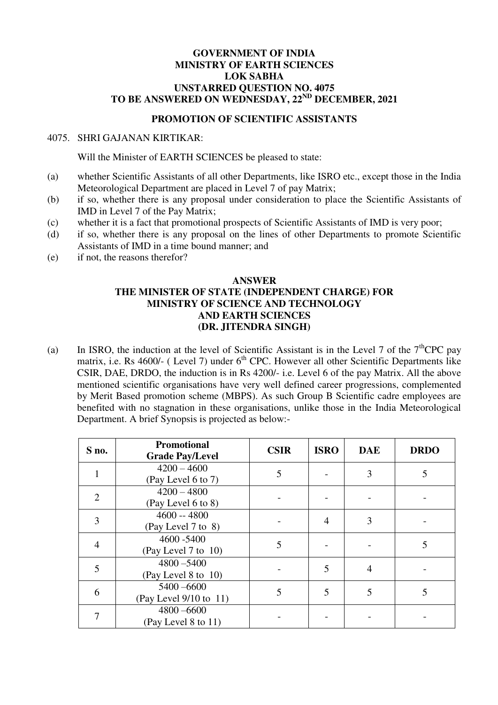## **GOVERNMENT OF INDIA MINISTRY OF EARTH SCIENCES LOK SABHA UNSTARRED QUESTION NO. 4075 TO BE ANSWERED ON WEDNESDAY, 22ND DECEMBER, 2021**

## **PROMOTION OF SCIENTIFIC ASSISTANTS**

## 4075. SHRI GAJANAN KIRTIKAR:

Will the Minister of EARTH SCIENCES be pleased to state:

- (a) whether Scientific Assistants of all other Departments, like ISRO etc., except those in the India Meteorological Department are placed in Level 7 of pay Matrix;
- (b) if so, whether there is any proposal under consideration to place the Scientific Assistants of IMD in Level 7 of the Pay Matrix;
- (c) whether it is a fact that promotional prospects of Scientific Assistants of IMD is very poor;
- (d) if so, whether there is any proposal on the lines of other Departments to promote Scientific Assistants of IMD in a time bound manner; and
- (e) if not, the reasons therefor?

## **ANSWER THE MINISTER OF STATE (INDEPENDENT CHARGE) FOR MINISTRY OF SCIENCE AND TECHNOLOGY AND EARTH SCIENCES (DR. JITENDRA SINGH)**

(a) In ISRO, the induction at the level of Scientific Assistant is in the Level 7 of the  $7<sup>th</sup>$ CPC pay matrix, i.e. Rs  $4600/-$  (Level 7) under  $6<sup>th</sup>$  CPC. However all other Scientific Departments like CSIR, DAE, DRDO, the induction is in Rs 4200/- i.e. Level 6 of the pay Matrix. All the above mentioned scientific organisations have very well defined career progressions, complemented by Merit Based promotion scheme (MBPS). As such Group B Scientific cadre employees are benefited with no stagnation in these organisations, unlike those in the India Meteorological Department. A brief Synopsis is projected as below:-

| S no.                       | <b>Promotional</b><br><b>Grade Pay/Level</b> | <b>CSIR</b> | <b>ISRO</b> | <b>DAE</b>     | <b>DRDO</b> |
|-----------------------------|----------------------------------------------|-------------|-------------|----------------|-------------|
|                             | $4200 - 4600$<br>(Pay Level 6 to 7)          | 5           |             | 3              |             |
| $\mathcal{D}_{\mathcal{L}}$ | $4200 - 4800$<br>(Pay Level 6 to 8)          |             |             |                |             |
| 3                           | $4600 - 4800$<br>(Pay Level 7 to 8)          |             | 4           | 3              |             |
| 4                           | 4600 - 5400<br>(Pay Level 7 to 10)           | 5           |             |                |             |
| 5                           | $4800 - 5400$<br>(Pay Level 8 to 10)         |             |             | $\overline{4}$ |             |
| 6                           | $5400 - 6600$<br>(Pay Level 9/10 to 11)      | 5           |             | 5              |             |
|                             | $4800 - 6600$<br>(Pay Level 8 to 11)         |             |             |                |             |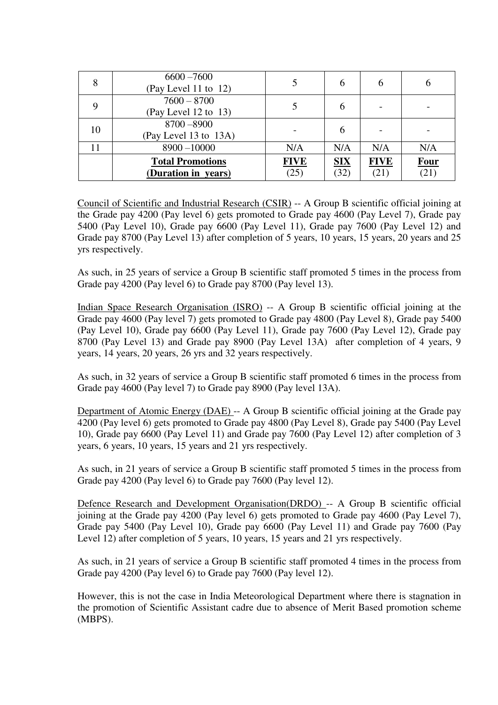| 8  | $6600 - 7600$<br>(Pay Level 11 to 12)          |                     |                        |                     |                     |
|----|------------------------------------------------|---------------------|------------------------|---------------------|---------------------|
| 9  | $7600 - 8700$<br>(Pay Level 12 to 13)          |                     |                        |                     |                     |
| 10 | 8700 - 8900<br>(Pay Level 13 to 13A)           |                     | O                      |                     |                     |
|    | $8900 - 10000$                                 | N/A                 | N/A                    | N/A                 | N/A                 |
|    | <b>Total Promotions</b><br>(Duration in years) | <b>FIVE</b><br>(25) | $\mathbf{SIX}$<br>(32) | <b>FIVE</b><br>(21) | <b>Four</b><br>(21) |

Council of Scientific and Industrial Research (CSIR) -- A Group B scientific official joining at the Grade pay 4200 (Pay level 6) gets promoted to Grade pay 4600 (Pay Level 7), Grade pay 5400 (Pay Level 10), Grade pay 6600 (Pay Level 11), Grade pay 7600 (Pay Level 12) and Grade pay 8700 (Pay Level 13) after completion of 5 years, 10 years, 15 years, 20 years and 25 yrs respectively.

As such, in 25 years of service a Group B scientific staff promoted 5 times in the process from Grade pay 4200 (Pay level 6) to Grade pay 8700 (Pay level 13).

Indian Space Research Organisation (ISRO) -- A Group B scientific official joining at the Grade pay 4600 (Pay level 7) gets promoted to Grade pay 4800 (Pay Level 8), Grade pay 5400 (Pay Level 10), Grade pay 6600 (Pay Level 11), Grade pay 7600 (Pay Level 12), Grade pay 8700 (Pay Level 13) and Grade pay 8900 (Pay Level 13A) after completion of 4 years, 9 years, 14 years, 20 years, 26 yrs and 32 years respectively.

As such, in 32 years of service a Group B scientific staff promoted 6 times in the process from Grade pay 4600 (Pay level 7) to Grade pay 8900 (Pay level 13A).

Department of Atomic Energy (DAE) -- A Group B scientific official joining at the Grade pay 4200 (Pay level 6) gets promoted to Grade pay 4800 (Pay Level 8), Grade pay 5400 (Pay Level 10), Grade pay 6600 (Pay Level 11) and Grade pay 7600 (Pay Level 12) after completion of 3 years, 6 years, 10 years, 15 years and 21 yrs respectively.

As such, in 21 years of service a Group B scientific staff promoted 5 times in the process from Grade pay 4200 (Pay level 6) to Grade pay 7600 (Pay level 12).

Defence Research and Development Organisation(DRDO) -- A Group B scientific official joining at the Grade pay 4200 (Pay level 6) gets promoted to Grade pay 4600 (Pay Level 7), Grade pay 5400 (Pay Level 10), Grade pay 6600 (Pay Level 11) and Grade pay 7600 (Pay Level 12) after completion of 5 years, 10 years, 15 years and 21 yrs respectively.

As such, in 21 years of service a Group B scientific staff promoted 4 times in the process from Grade pay 4200 (Pay level 6) to Grade pay 7600 (Pay level 12).

However, this is not the case in India Meteorological Department where there is stagnation in the promotion of Scientific Assistant cadre due to absence of Merit Based promotion scheme (MBPS).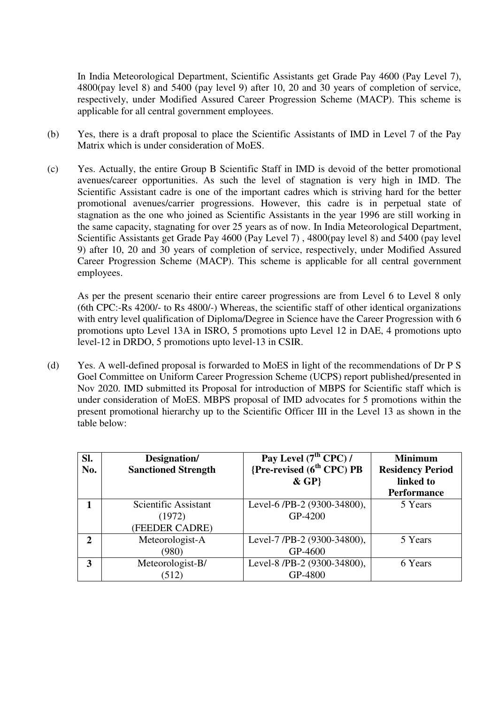In India Meteorological Department, Scientific Assistants get Grade Pay 4600 (Pay Level 7), 4800(pay level 8) and 5400 (pay level 9) after 10, 20 and 30 years of completion of service, respectively, under Modified Assured Career Progression Scheme (MACP). This scheme is applicable for all central government employees.

- (b) Yes, there is a draft proposal to place the Scientific Assistants of IMD in Level 7 of the Pay Matrix which is under consideration of MoES.
- (c) Yes. Actually, the entire Group B Scientific Staff in IMD is devoid of the better promotional avenues/career opportunities. As such the level of stagnation is very high in IMD. The Scientific Assistant cadre is one of the important cadres which is striving hard for the better promotional avenues/carrier progressions. However, this cadre is in perpetual state of stagnation as the one who joined as Scientific Assistants in the year 1996 are still working in the same capacity, stagnating for over 25 years as of now. In India Meteorological Department, Scientific Assistants get Grade Pay 4600 (Pay Level 7) , 4800(pay level 8) and 5400 (pay level 9) after 10, 20 and 30 years of completion of service, respectively, under Modified Assured Career Progression Scheme (MACP). This scheme is applicable for all central government employees.

As per the present scenario their entire career progressions are from Level 6 to Level 8 only (6th CPC:-Rs 4200/- to Rs 4800/-) Whereas, the scientific staff of other identical organizations with entry level qualification of Diploma/Degree in Science have the Career Progression with 6 promotions upto Level 13A in ISRO, 5 promotions upto Level 12 in DAE, 4 promotions upto level-12 in DRDO, 5 promotions upto level-13 in CSIR.

(d) Yes. A well-defined proposal is forwarded to MoES in light of the recommendations of Dr P S Goel Committee on Uniform Career Progression Scheme (UCPS) report published/presented in Nov 2020. IMD submitted its Proposal for introduction of MBPS for Scientific staff which is under consideration of MoES. MBPS proposal of IMD advocates for 5 promotions within the present promotional hierarchy up to the Scientific Officer III in the Level 13 as shown in the table below:

| SI.<br>No. | Designation/<br><b>Sanctioned Strength</b>       | Pay Level $(7th$ CPC) /<br>{Pre-revised (6 <sup>th</sup> CPC) PB<br>$\&$ GP} | <b>Minimum</b><br><b>Residency Period</b><br>linked to<br><b>Performance</b> |
|------------|--------------------------------------------------|------------------------------------------------------------------------------|------------------------------------------------------------------------------|
|            | Scientific Assistant<br>(1972)<br>(FEEDER CADRE) | Level-6 /PB-2 (9300-34800),<br>GP-4200                                       | 5 Years                                                                      |
| 2          | Meteorologist-A<br>(980)                         | Level-7 /PB-2 (9300-34800),<br>GP-4600                                       | 5 Years                                                                      |
| 3          | Meteorologist-B/<br>(512)                        | Level-8 /PB-2 (9300-34800),<br>GP-4800                                       | 6 Years                                                                      |